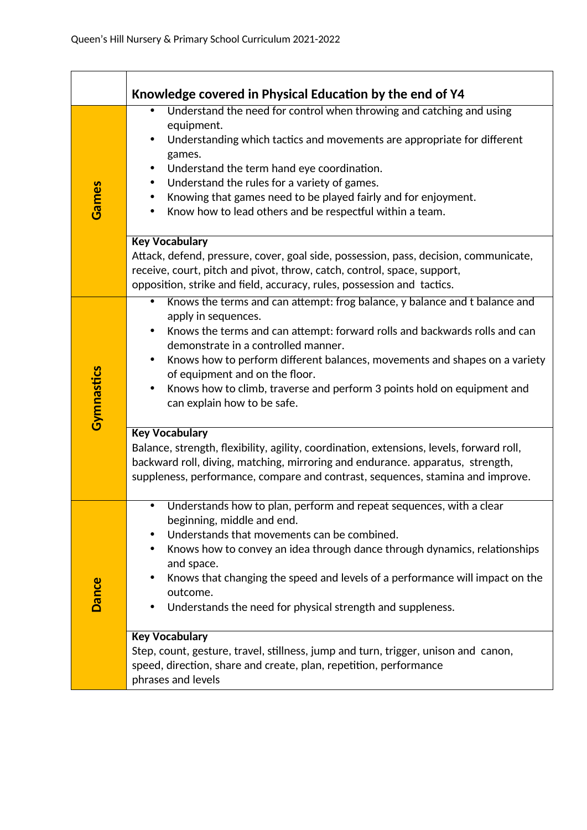|            | Knowledge covered in Physical Education by the end of Y4                                                                                                                                                                                                                                                                                                                                                                                                                                             |
|------------|------------------------------------------------------------------------------------------------------------------------------------------------------------------------------------------------------------------------------------------------------------------------------------------------------------------------------------------------------------------------------------------------------------------------------------------------------------------------------------------------------|
| Games      | Understand the need for control when throwing and catching and using<br>$\bullet$<br>equipment.<br>Understanding which tactics and movements are appropriate for different<br>games.<br>Understand the term hand eye coordination.<br>٠<br>Understand the rules for a variety of games.<br>$\bullet$<br>Knowing that games need to be played fairly and for enjoyment.<br>٠<br>Know how to lead others and be respectful within a team.<br>٠                                                         |
|            | <b>Key Vocabulary</b><br>Attack, defend, pressure, cover, goal side, possession, pass, decision, communicate,<br>receive, court, pitch and pivot, throw, catch, control, space, support,<br>opposition, strike and field, accuracy, rules, possession and tactics.                                                                                                                                                                                                                                   |
| Gymnastics | Knows the terms and can attempt: frog balance, y balance and t balance and<br>$\bullet$<br>apply in sequences.<br>Knows the terms and can attempt: forward rolls and backwards rolls and can<br>$\bullet$<br>demonstrate in a controlled manner.<br>Knows how to perform different balances, movements and shapes on a variety<br>$\bullet$<br>of equipment and on the floor.<br>Knows how to climb, traverse and perform 3 points hold on equipment and<br>$\bullet$<br>can explain how to be safe. |
|            | <b>Key Vocabulary</b><br>Balance, strength, flexibility, agility, coordination, extensions, levels, forward roll,<br>backward roll, diving, matching, mirroring and endurance. apparatus, strength,<br>suppleness, performance, compare and contrast, sequences, stamina and improve.                                                                                                                                                                                                                |
| Dance      | Understands how to plan, perform and repeat sequences, with a clear<br>$\bullet$<br>beginning, middle and end.<br>Understands that movements can be combined.<br>Knows how to convey an idea through dance through dynamics, relationships<br>and space.<br>Knows that changing the speed and levels of a performance will impact on the<br>outcome.<br>Understands the need for physical strength and suppleness.                                                                                   |
|            | <b>Key Vocabulary</b><br>Step, count, gesture, travel, stillness, jump and turn, trigger, unison and canon,<br>speed, direction, share and create, plan, repetition, performance<br>phrases and levels                                                                                                                                                                                                                                                                                               |